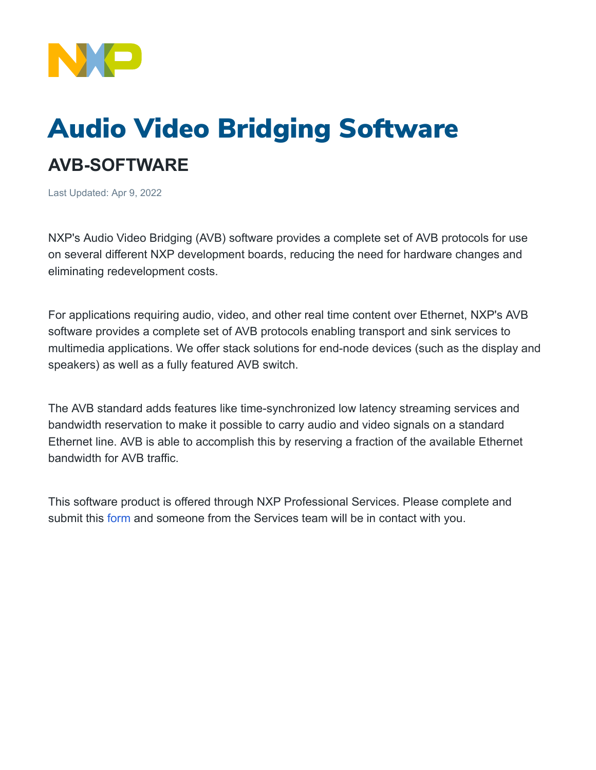

## Audio Video Bridging Software **AVB-SOFTWARE**

Last Updated: Apr 9, 2022

NXP's Audio Video Bridging (AVB) software provides a complete set of AVB protocols for use on several different NXP development boards, reducing the need for hardware changes and eliminating redevelopment costs.

For applications requiring audio, video, and other real time content over Ethernet, NXP's AVB software provides a complete set of AVB protocols enabling transport and sink services to multimedia applications. We offer stack solutions for end-node devices (such as the display and speakers) as well as a fully featured AVB switch.

The AVB standard adds features like time-synchronized low latency streaming services and bandwidth reservation to make it possible to carry audio and video signals on a standard Ethernet line. AVB is able to accomplish this by reserving a fraction of the available Ethernet bandwidth for AVB traffic.

This software product is offered through NXP Professional Services. Please complete and submit this [form](https://contact.nxp.com/nxp-prof-svcs-sw-tech) and someone from the Services team will be in contact with you.